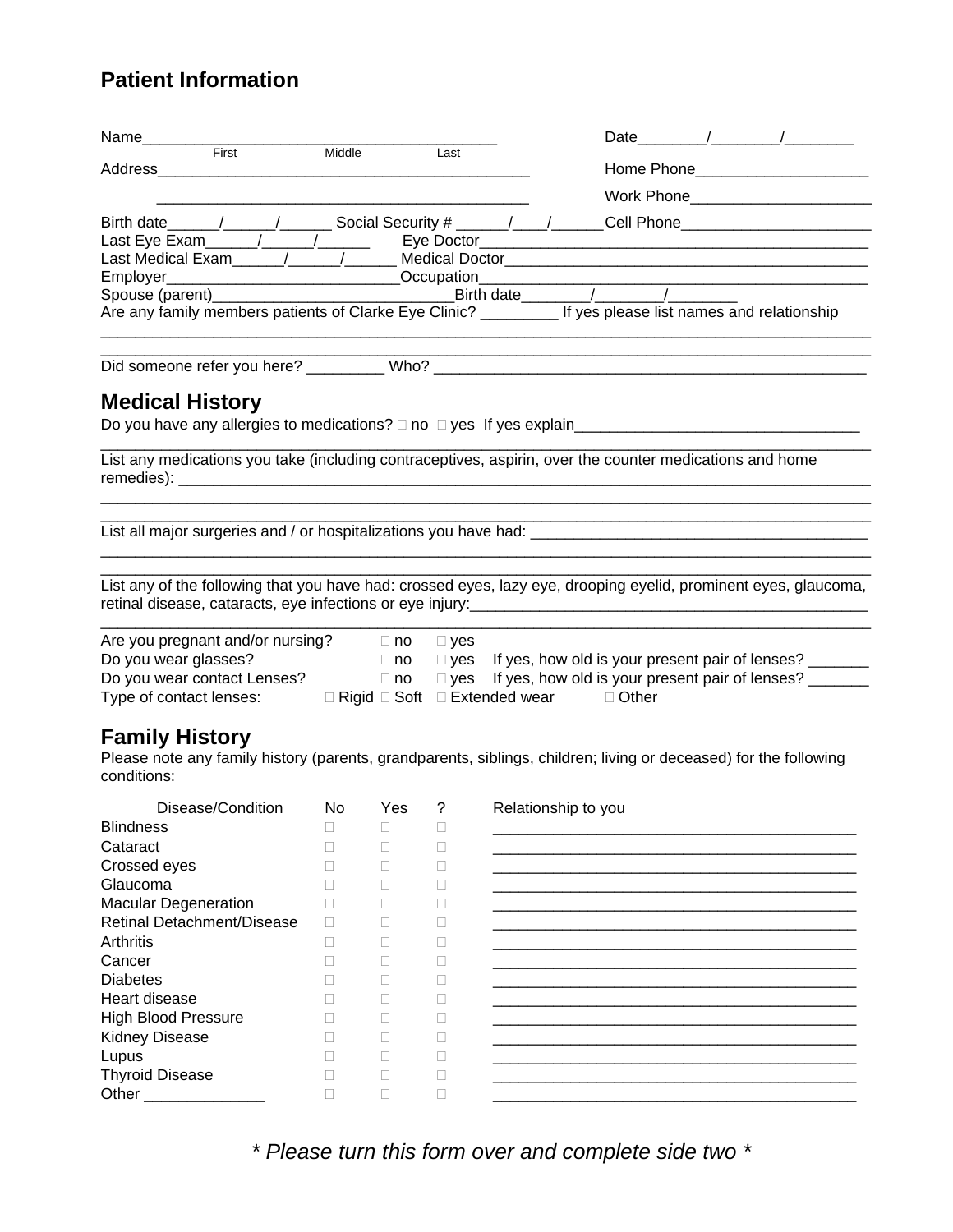## **Patient Information**

| Name________                                                   |        |              |               |                                                 |                     |                                                                                                                                                                                                                                                                                                                                                                                                                           |
|----------------------------------------------------------------|--------|--------------|---------------|-------------------------------------------------|---------------------|---------------------------------------------------------------------------------------------------------------------------------------------------------------------------------------------------------------------------------------------------------------------------------------------------------------------------------------------------------------------------------------------------------------------------|
| First<br>Address                                               | Middle |              | Last          |                                                 |                     | Home Phone_______________________                                                                                                                                                                                                                                                                                                                                                                                         |
|                                                                |        |              |               |                                                 |                     |                                                                                                                                                                                                                                                                                                                                                                                                                           |
|                                                                |        |              |               |                                                 |                     | Work Phone__________________________                                                                                                                                                                                                                                                                                                                                                                                      |
|                                                                |        |              |               |                                                 |                     | Birth date $\frac{1}{\sqrt{1-\frac{1}{\sqrt{1-\frac{1}{\sqrt{1-\frac{1}{\sqrt{1-\frac{1}{\sqrt{1-\frac{1}{\sqrt{1-\frac{1}{\sqrt{1-\frac{1}{\sqrt{1-\frac{1}{\sqrt{1-\frac{1}{\sqrt{1-\frac{1}{\sqrt{1-\frac{1}{\sqrt{1-\frac{1}{\sqrt{1-\frac{1}{\sqrt{1-\frac{1}{\sqrt{1-\frac{1}{\sqrt{1-\frac{1}{\sqrt{1-\frac{1}{\sqrt{1-\frac{1}{\sqrt{1-\frac{1}{\sqrt{1-\frac{1}{\sqrt{1-\frac{1}{\sqrt{1-\frac{1}{\sqrt{1-\frac$ |
|                                                                |        |              |               |                                                 |                     | Last Eye Exam______/______/_______  Eye Doctor__________________________________<br>Last Medical Exam______/______/______ Medical Doctor_____________________________                                                                                                                                                                                                                                                     |
|                                                                |        |              |               |                                                 |                     | Employer____________________________Occupation__________________________________                                                                                                                                                                                                                                                                                                                                          |
|                                                                |        |              |               |                                                 |                     |                                                                                                                                                                                                                                                                                                                                                                                                                           |
|                                                                |        |              |               |                                                 |                     | Are any family members patients of Clarke Eye Clinic? __________ If yes please list names and relationship                                                                                                                                                                                                                                                                                                                |
|                                                                |        |              |               |                                                 |                     |                                                                                                                                                                                                                                                                                                                                                                                                                           |
| <b>Medical History</b>                                         |        |              |               |                                                 |                     |                                                                                                                                                                                                                                                                                                                                                                                                                           |
|                                                                |        |              |               |                                                 |                     |                                                                                                                                                                                                                                                                                                                                                                                                                           |
|                                                                |        |              |               |                                                 |                     | List any medications you take (including contraceptives, aspirin, over the counter medications and home                                                                                                                                                                                                                                                                                                                   |
|                                                                |        |              |               |                                                 |                     |                                                                                                                                                                                                                                                                                                                                                                                                                           |
|                                                                |        |              |               |                                                 |                     |                                                                                                                                                                                                                                                                                                                                                                                                                           |
|                                                                |        |              |               |                                                 |                     |                                                                                                                                                                                                                                                                                                                                                                                                                           |
|                                                                |        |              |               |                                                 |                     | List any of the following that you have had: crossed eyes, lazy eye, drooping eyelid, prominent eyes, glaucoma,                                                                                                                                                                                                                                                                                                           |
| Are you pregnant and/or nursing? □ no                          |        |              | □ yes         |                                                 |                     |                                                                                                                                                                                                                                                                                                                                                                                                                           |
| Do you wear glasses?                                           |        | $\Box$ no    |               |                                                 |                     |                                                                                                                                                                                                                                                                                                                                                                                                                           |
| Do you wear contact Lenses?                                    |        | $\Box$ no    | $\square$ yes | If yes, how old is your present pair of lenses? |                     |                                                                                                                                                                                                                                                                                                                                                                                                                           |
| Type of contact lenses: □ Rigid □ Soft □ Extended wear □ Other |        |              |               |                                                 |                     |                                                                                                                                                                                                                                                                                                                                                                                                                           |
| <b>Family History</b>                                          |        |              |               |                                                 |                     |                                                                                                                                                                                                                                                                                                                                                                                                                           |
|                                                                |        |              |               |                                                 |                     | Please note any family history (parents, grandparents, siblings, children; living or deceased) for the following                                                                                                                                                                                                                                                                                                          |
| conditions:                                                    |        |              |               |                                                 |                     |                                                                                                                                                                                                                                                                                                                                                                                                                           |
| Disease/Condition                                              |        |              | No Yes ?      |                                                 | Relationship to you |                                                                                                                                                                                                                                                                                                                                                                                                                           |
| <b>Blindness</b>                                               |        |              |               |                                                 |                     |                                                                                                                                                                                                                                                                                                                                                                                                                           |
| Cataract                                                       |        | $\mathbf{L}$ | Ш             |                                                 |                     |                                                                                                                                                                                                                                                                                                                                                                                                                           |
| Crossed eyes                                                   |        | П            | $\mathbf{L}$  |                                                 |                     |                                                                                                                                                                                                                                                                                                                                                                                                                           |
| Glaucoma                                                       |        | П            | Ш             |                                                 |                     |                                                                                                                                                                                                                                                                                                                                                                                                                           |
| <b>Macular Degeneration</b>                                    |        | П            | Ш             |                                                 |                     |                                                                                                                                                                                                                                                                                                                                                                                                                           |
| <b>Retinal Detachment/Disease</b>                              |        | П            | Ш             |                                                 |                     |                                                                                                                                                                                                                                                                                                                                                                                                                           |
| Arthritis                                                      | Ш      | $\mathbf{L}$ | $\mathbf{L}$  |                                                 |                     |                                                                                                                                                                                                                                                                                                                                                                                                                           |
| Cancer                                                         |        | $\mathbf{L}$ | $\mathbf{L}$  |                                                 |                     |                                                                                                                                                                                                                                                                                                                                                                                                                           |
| <b>Diabetes</b>                                                |        | $\mathbf{L}$ | Ш             |                                                 |                     |                                                                                                                                                                                                                                                                                                                                                                                                                           |
| Heart disease                                                  |        | $\mathbf{L}$ | Ш             |                                                 |                     |                                                                                                                                                                                                                                                                                                                                                                                                                           |
| <b>High Blood Pressure</b>                                     |        | $\mathbf{L}$ | Ш             |                                                 |                     |                                                                                                                                                                                                                                                                                                                                                                                                                           |
| <b>Kidney Disease</b>                                          | П      | П            | Ш             |                                                 |                     |                                                                                                                                                                                                                                                                                                                                                                                                                           |
| Lupus                                                          | □      | П            | □             |                                                 |                     |                                                                                                                                                                                                                                                                                                                                                                                                                           |
| <b>Thyroid Disease</b>                                         | □      | □            | □             |                                                 |                     |                                                                                                                                                                                                                                                                                                                                                                                                                           |
| Other                                                          | П      | П            | П             |                                                 |                     |                                                                                                                                                                                                                                                                                                                                                                                                                           |
|                                                                |        |              |               |                                                 |                     |                                                                                                                                                                                                                                                                                                                                                                                                                           |

*\* Please turn this form over and complete side two \**